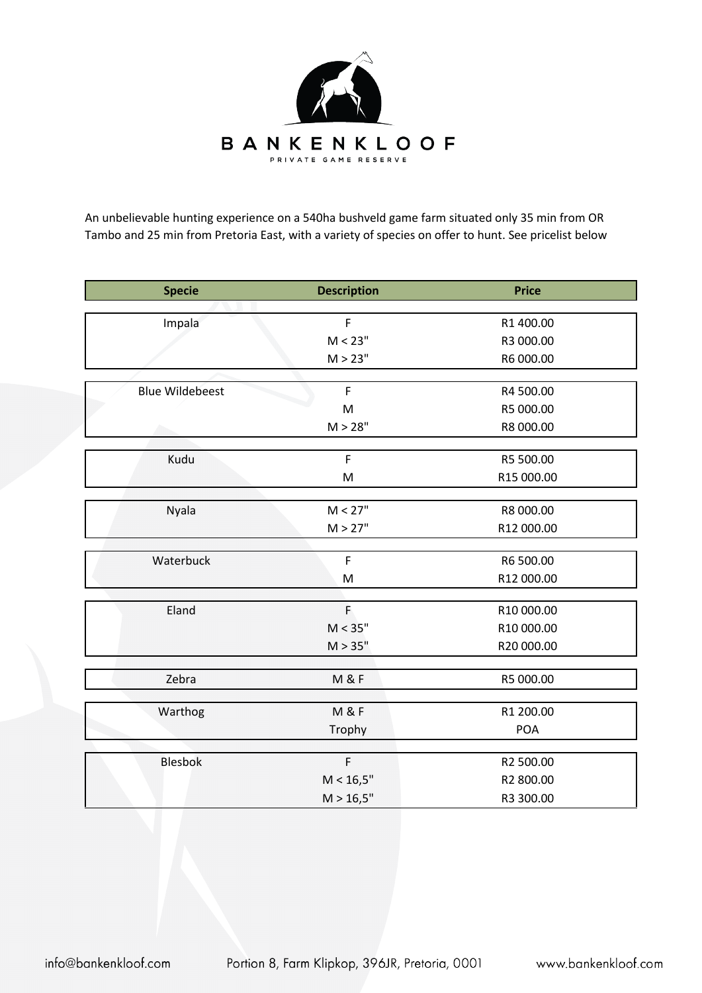

An unbelievable hunting experience on a 540ha bushveld game farm situated only 35 min from OR Tambo and 25 min from Pretoria East, with a variety of species on offer to hunt. See pricelist below

| <b>Specie</b>          | <b>Description</b> | <b>Price</b> |
|------------------------|--------------------|--------------|
|                        |                    |              |
| Impala                 | $\mathsf F$        | R1 400.00    |
|                        | M < 23"            | R3 000.00    |
|                        | M > 23"            | R6 000.00    |
|                        |                    |              |
| <b>Blue Wildebeest</b> | $\mathsf F$        | R4 500.00    |
|                        | $\mathsf{M}$       | R5 000.00    |
|                        | M > 28"            | R8 000.00    |
|                        |                    |              |
| Kudu                   | $\mathsf F$        | R5 500.00    |
|                        | ${\sf M}$          | R15 000.00   |
| Nyala                  | M < 27"            | R8 000.00    |
|                        | M > 27"            | R12 000.00   |
|                        |                    |              |
| Waterbuck              | $\mathsf F$        | R6 500.00    |
|                        | ${\sf M}$          | R12 000.00   |
|                        |                    |              |
| Eland                  | Ė                  | R10 000.00   |
|                        | M < 35"            | R10 000.00   |
|                        | M > 35"            | R20 000.00   |
|                        |                    |              |
| Zebra                  | <b>M &amp; F</b>   | R5 000.00    |
| Warthog                | <b>M &amp; F</b>   | R1 200.00    |
|                        | Trophy             | <b>POA</b>   |
|                        |                    |              |
| <b>Blesbok</b>         | $\mathsf F$        | R2 500.00    |
|                        | M < 16,5"          | R2 800.00    |
|                        | M > 16,5"          | R3 300.00    |